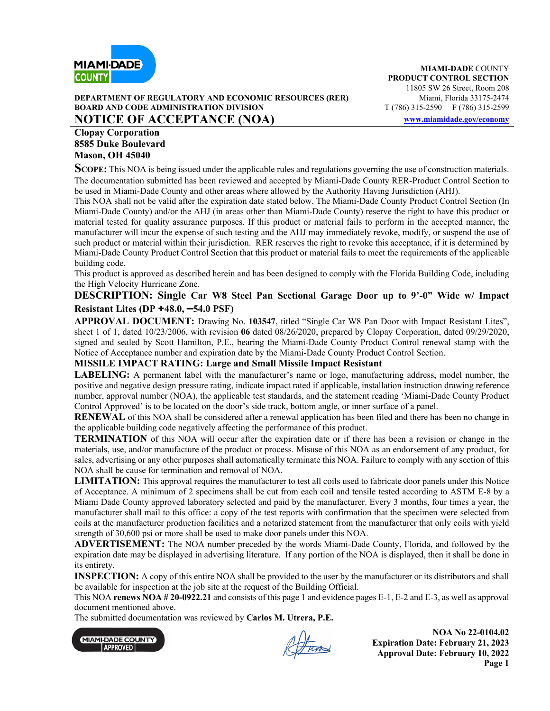

#### **DEPARTMENT OF REGULATORY AND ECONOMIC RESOURCES (RER)** Miami, Florida 33175-2474 **BOARD AND CODE ADMINISTRATION DIVISION T** (786) 315-2590 **F** (786) 315-2599 **NOTICE OF ACCEPTANCE (NOA)** www.miamidade.gov/economy

### **Clopay Corporation 8585 Duke Boulevard Mason, OH 45040**

**SCOPE:** This NOA is being issued under the applicable rules and regulations governing the use of construction materials. The documentation submitted has been reviewed and accepted by Miami-Dade County RER-Product Control Section to be used in Miami-Dade County and other areas where allowed by the Authority Having Jurisdiction (AHJ).

This NOA shall not be valid after the expiration date stated below. The Miami-Dade County Product Control Section (In Miami-Dade County) and/or the AHJ (in areas other than Miami-Dade County) reserve the right to have this product or material tested for quality assurance purposes. If this product or material fails to perform in the accepted manner, the manufacturer will incur the expense of such testing and the AHJ may immediately revoke, modify, or suspend the use of such product or material within their jurisdiction. RER reserves the right to revoke this acceptance, if it is determined by Miami-Dade County Product Control Section that this product or material fails to meet the requirements of the applicable building code.

This product is approved as described herein and has been designed to comply with the Florida Building Code, including the High Velocity Hurricane Zone.

## **DESCRIPTION: Single Car W8 Steel Pan Sectional Garage Door up to 9'-0" Wide w/ Impact Resistant Lites (DP** +**48.0, –54.0 PSF)**

**APPROVAL DOCUMENT:** Drawing No. **103547**, titled "Single Car W8 Pan Door with Impact Resistant Lites", sheet 1 of 1, dated 10/23/2006, with revision **06** dated 08/26/2020, prepared by Clopay Corporation, dated 09/29/2020, signed and sealed by Scott Hamilton, P.E., bearing the Miami-Dade County Product Control renewal stamp with the Notice of Acceptance number and expiration date by the Miami-Dade County Product Control Section.

## **MISSILE IMPACT RATING: Large and Small Missile Impact Resistant**

**LABELING:** A permanent label with the manufacturer's name or logo, manufacturing address, model number, the positive and negative design pressure rating, indicate impact rated if applicable, installation instruction drawing reference number, approval number (NOA), the applicable test standards, and the statement reading 'Miami-Dade County Product Control Approved' is to be located on the door's side track, bottom angle, or inner surface of a panel.

**RENEWAL** of this NOA shall be considered after a renewal application has been filed and there has been no change in the applicable building code negatively affecting the performance of this product.

**TERMINATION** of this NOA will occur after the expiration date or if there has been a revision or change in the materials, use, and/or manufacture of the product or process. Misuse of this NOA as an endorsement of any product, for sales, advertising or any other purposes shall automatically terminate this NOA. Failure to comply with any section of this NOA shall be cause for termination and removal of NOA.

**LIMITATION:** This approval requires the manufacturer to test all coils used to fabricate door panels under this Notice of Acceptance. A minimum of 2 specimens shall be cut from each coil and tensile tested according to ASTM E-8 by a Miami Dade County approved laboratory selected and paid by the manufacturer. Every 3 months, four times a year, the manufacturer shall mail to this office: a copy of the test reports with confirmation that the specimen were selected from coils at the manufacturer production facilities and a notarized statement from the manufacturer that only coils with yield strength of 30,600 psi or more shall be used to make door panels under this NOA.

**ADVERTISEMENT:** The NOA number preceded by the words Miami-Dade County, Florida, and followed by the expiration date may be displayed in advertising literature. If any portion of the NOA is displayed, then it shall be done in its entirety.

**INSPECTION:** A copy of this entire NOA shall be provided to the user by the manufacturer or its distributors and shall be available for inspection at the job site at the request of the Building Official.

This NOA **renews NOA # 20-0922.21** and consists of this page 1 and evidence pages E-1, E-2 and E-3, as well as approval document mentioned above.

The submitted documentation was reviewed by **Carlos M. Utrera, P.E.**



Returns

**NOA No 22-0104.02 Expiration Date: February 21, 2023 Approval Date: February 10, 2022 Page 1**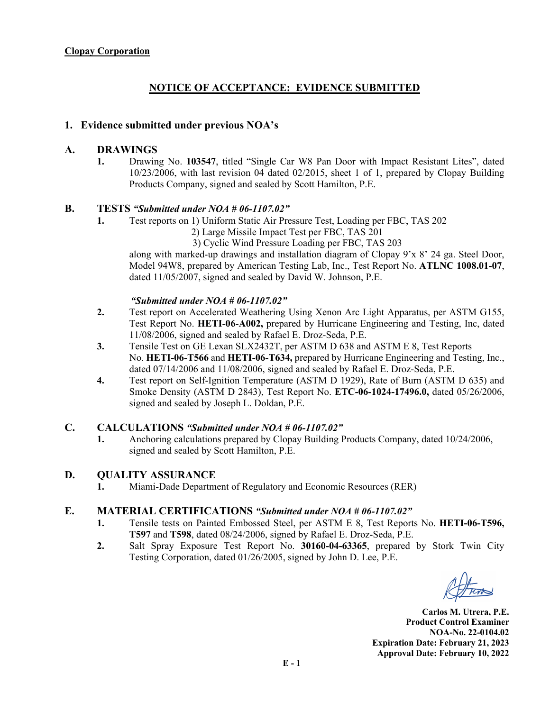# **NOTICE OF ACCEPTANCE: EVIDENCE SUBMITTED**

### **1. Evidence submitted under previous NOA's**

### **A. DRAWINGS**

**1.** Drawing No. **103547**, titled "Single Car W8 Pan Door with Impact Resistant Lites", dated 10/23/2006, with last revision 04 dated 02/2015, sheet 1 of 1, prepared by Clopay Building Products Company, signed and sealed by Scott Hamilton, P.E.

### **B. TESTS** *"Submitted under NOA # 06-1107.02"*

- **1.** Test reports on 1) Uniform Static Air Pressure Test, Loading per FBC, TAS 202
	- 2) Large Missile Impact Test per FBC, TAS 201

3) Cyclic Wind Pressure Loading per FBC, TAS 203

along with marked-up drawings and installation diagram of Clopay 9'x 8' 24 ga. Steel Door, Model 94W8, prepared by American Testing Lab, Inc., Test Report No. **ATLNC 1008.01-07**, dated 11/05/2007, signed and sealed by David W. Johnson, P.E.

### *"Submitted under NOA # 06-1107.02"*

- **2.** Test report on Accelerated Weathering Using Xenon Arc Light Apparatus, per ASTM G155, Test Report No. **HETI-06-A002,** prepared by Hurricane Engineering and Testing, Inc, dated 11/08/2006, signed and sealed by Rafael E. Droz-Seda, P.E.
- **3.** Tensile Test on GE Lexan SLX2432T, per ASTM D 638 and ASTM E 8, Test Reports No. **HETI-06-T566** and **HETI-06-T634,** prepared by Hurricane Engineering and Testing, Inc., dated 07/14/2006 and 11/08/2006, signed and sealed by Rafael E. Droz-Seda, P.E.
- **4.** Test report on Self-Ignition Temperature (ASTM D 1929), Rate of Burn (ASTM D 635) and Smoke Density (ASTM D 2843), Test Report No. **ETC-06-1024-17496.0,** dated 05/26/2006, signed and sealed by Joseph L. Doldan, P.E.

### **C. CALCULATIONS** *"Submitted under NOA # 06-1107.02"*

**1.** Anchoring calculations prepared by Clopay Building Products Company, dated 10/24/2006, signed and sealed by Scott Hamilton, P.E.

### **D. QUALITY ASSURANCE**

**1.** Miami-Dade Department of Regulatory and Economic Resources (RER)

## **E. MATERIAL CERTIFICATIONS** *"Submitted under NOA # 06-1107.02"*

- **1.** Tensile tests on Painted Embossed Steel, per ASTM E 8, Test Reports No. **HETI-06-T596, T597** and **T598**, dated 08/24/2006, signed by Rafael E. Droz-Seda, P.E.
- **2.** Salt Spray Exposure Test Report No. **30160-04-63365**, prepared by Stork Twin City Testing Corporation, dated 01/26/2005, signed by John D. Lee, P.E.

**Carlos M. Utrera, P.E. Product Control Examiner NOA-No. 22-0104.02 Expiration Date: February 21, 2023 Approval Date: February 10, 2022**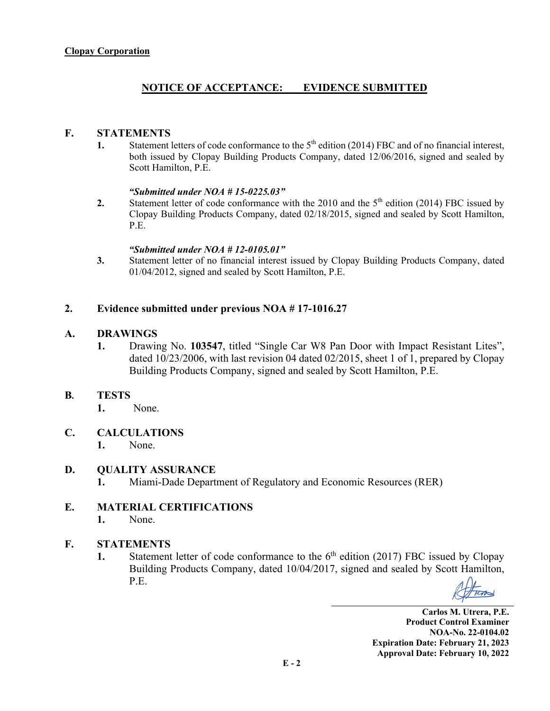# **NOTICE OF ACCEPTANCE: EVIDENCE SUBMITTED**

## **F. STATEMENTS**

1. Statement letters of code conformance to the 5<sup>th</sup> edition (2014) FBC and of no financial interest, both issued by Clopay Building Products Company, dated 12/06/2016, signed and sealed by Scott Hamilton, P.E.

### *"Submitted under NOA # 15-0225.03"*

**2.** Statement letter of code conformance with the 2010 and the  $5<sup>th</sup>$  edition (2014) FBC issued by Clopay Building Products Company, dated 02/18/2015, signed and sealed by Scott Hamilton, P.E.

### *"Submitted under NOA # 12-0105.01"*

**3.** Statement letter of no financial interest issued by Clopay Building Products Company, dated 01/04/2012, signed and sealed by Scott Hamilton, P.E.

## **2. Evidence submitted under previous NOA # 17-1016.27**

## **A. DRAWINGS**

**1.** Drawing No. **103547**, titled "Single Car W8 Pan Door with Impact Resistant Lites", dated 10/23/2006, with last revision 04 dated 02/2015, sheet 1 of 1, prepared by Clopay Building Products Company, signed and sealed by Scott Hamilton, P.E.

## **B. TESTS**

- **1.** None.
- **C. CALCULATIONS** 
	- **1.** None.

## **D. QUALITY ASSURANCE**

**1.** Miami-Dade Department of Regulatory and Economic Resources (RER)

# **E. MATERIAL CERTIFICATIONS**

**1.** None.

# **F. STATEMENTS**

**1.** Statement letter of code conformance to the  $6<sup>th</sup>$  edition (2017) FBC issued by Clopay Building Products Company, dated 10/04/2017, signed and sealed by Scott Hamilton, P.E.

**Carlos M. Utrera, P.E. Product Control Examiner NOA-No. 22-0104.02 Expiration Date: February 21, 2023 Approval Date: February 10, 2022**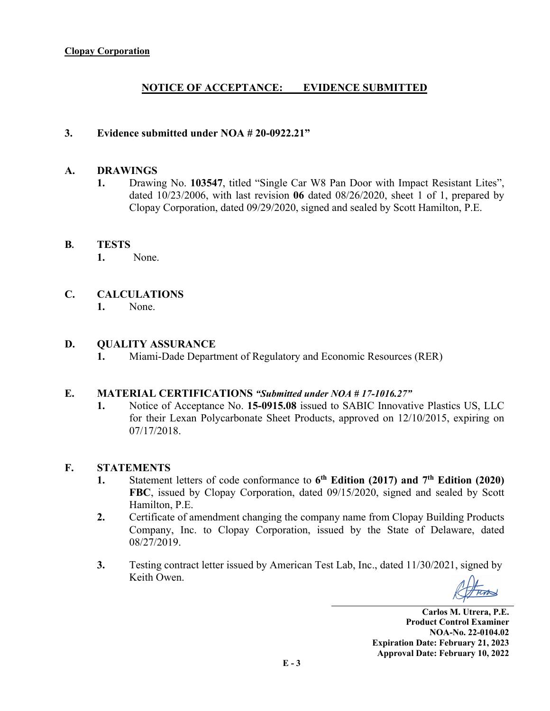# **NOTICE OF ACCEPTANCE: EVIDENCE SUBMITTED**

## **3. Evidence submitted under NOA # 20-0922.21"**

### **A. DRAWINGS**

**1.** Drawing No. **103547**, titled "Single Car W8 Pan Door with Impact Resistant Lites", dated 10/23/2006, with last revision **06** dated 08/26/2020, sheet 1 of 1, prepared by Clopay Corporation, dated 09/29/2020, signed and sealed by Scott Hamilton, P.E.

## **B. TESTS**

 **1.** None.

## **C. CALCULATIONS**

**1.** None.

### **D. QUALITY ASSURANCE**

**1.** Miami-Dade Department of Regulatory and Economic Resources (RER)

### **E. MATERIAL CERTIFICATIONS** *"Submitted under NOA # 17-1016.27"*

**1.** Notice of Acceptance No. **15-0915.08** issued to SABIC Innovative Plastics US, LLC for their Lexan Polycarbonate Sheet Products, approved on 12/10/2015, expiring on 07/17/2018.

### **F. STATEMENTS**

- **1.** Statement letters of code conformance to **6th Edition (2017) and 7th Edition (2020) FBC**, issued by Clopay Corporation, dated 09/15/2020, signed and sealed by Scott Hamilton, P.E.
- **2.** Certificate of amendment changing the company name from Clopay Building Products Company, Inc. to Clopay Corporation, issued by the State of Delaware, dated 08/27/2019.
- **3.** Testing contract letter issued by American Test Lab, Inc., dated 11/30/2021, signed by Keith Owen.

**Carlos M. Utrera, P.E. Product Control Examiner NOA-No. 22-0104.02 Expiration Date: February 21, 2023 Approval Date: February 10, 2022**